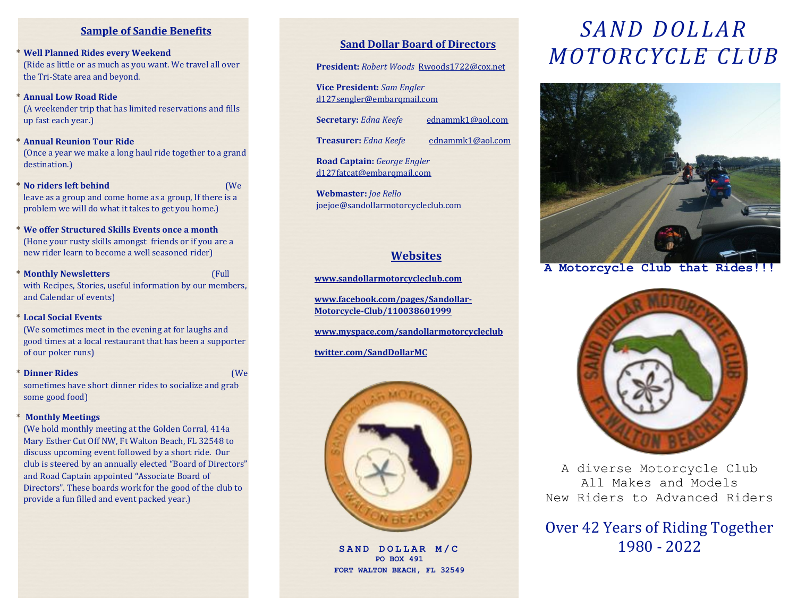### **Sample of Sandie Benefits**

- **\* Well Planned Rides every Weekend**  (Ride as little or as much as you want. We travel all over the Tri-State area and beyond.
- **\* Annual Low Road Ride** (A weekender trip that has limited reservations and fills up fast each year.)
- **\* Annual Reunion Tour Ride**  (Once a year we make a long haul ride together to a grand destination.)
- **\* No riders left behind** (We leave as a group and come home as a group, If there is a problem we will do what it takes to get you home.)
- **\* We offer Structured Skills Events once a month**  (Hone your rusty skills amongst friends or if you are a new rider learn to become a well seasoned rider)
- **\* Monthly Newsletters** (Full with Recipes, Stories, useful information by our members, and Calendar of events)

#### **\* Local Social Events**

(We sometimes meet in the evening at for laughs and good times at a local restaurant that has been a supporter of our poker runs)

**\* Dinner Rides** (We sometimes have short dinner rides to socialize and grab some good food)

#### **\* Monthly Meetings**

(We hold monthly meeting at the Golden Corral, 414a Mary Esther Cut Off NW, Ft Walton Beach, FL 32548 to discuss upcoming event followed by a short ride. Our club is steered by an annually elected "Board of Directors" and Road Captain appointed "Associate Board of Directors". These boards work for the good of the club to provide a fun filled and event packed year.)

### **Sand Dollar Board of Directors**

**President:** *Robert Woods* Rwoods1722@cox.net

**Vice President:** *Sam Engler* d127sengler@embarqmail.com

**Secretary:** *Edna Keefe* ednammk1@aol.com

**Treasurer:** *Edna Keefe* ednammk1@aol.com

**Road Captain:** *George Engler* [d127fatcat@embarqmail.com](mailto:d127fatcat@embarqmail.com)

**Webmaster:** *Joe Rello* joejoe@sandollarmotorcycleclub.com

### **Websites**

**[www.sandollarmotorcycleclub.com](http://www.sandollarmotorcycleclub.com/)**

**[www.facebook.com/pages/Sandollar-](http://www.facebook.com/pages/Sandollar-Motorcycle-Club/110038601999)[Motorcycle-Club/110038601999](http://www.facebook.com/pages/Sandollar-Motorcycle-Club/110038601999)**

**[www.myspace.com/sandollarmotorcycleclub](http://www.myspace.com/sandollarmotorcycleclub)**

**[twitter.com/SandDollarMC](http://twitter.com/SandDollarMC)**



**PO BOX 491 FORT WALTON BEACH, FL 32549**

# *SAND DOLLAR MOTORCYCLE CLUB*



**A Motorcycle Club that Rides!!!**



A diverse Motorcycle Club All Makes and Models New Riders to Advanced Riders

### Over 42 Years of Riding Together SAND DOLLAR M/C<br>
1980 - 2022